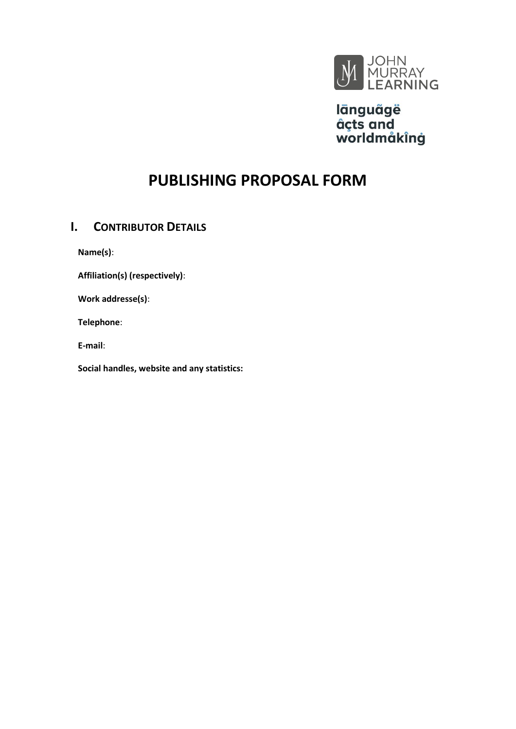

lānguãgë åçts and<br>worldmåkîng

# **PUBLISHING PROPOSAL FORM**

# **I. CONTRIBUTOR DETAILS**

**Name(s)**:

**Affiliation(s) (respectively)**:

**Work addresse(s)**:

**Telephone**:

**E-mail**:

**Social handles, website and any statistics:**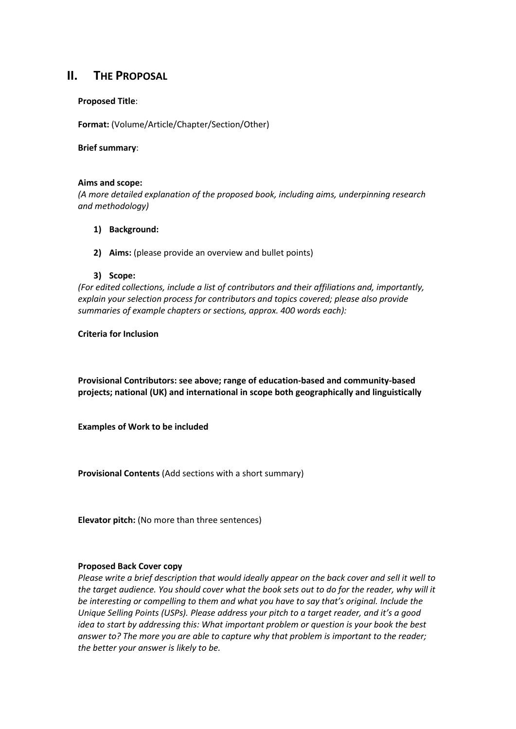## **II. THE PROPOSAL**

#### **Proposed Title**:

**Format:** (Volume/Article/Chapter/Section/Other)

**Brief summary**:

#### **Aims and scope:**

*(A more detailed explanation of the proposed book, including aims, underpinning research and methodology)*

- **1) Background:**
- **2) Aims:** (please provide an overview and bullet points)

#### **3) Scope:**

*(For edited collections, include a list of contributors and their affiliations and, importantly, explain your selection process for contributors and topics covered; please also provide summaries of example chapters or sections, approx. 400 words each):*

#### **Criteria for Inclusion**

**Provisional Contributors: see above; range of education-based and community-based projects; national (UK) and international in scope both geographically and linguistically**

**Examples of Work to be included**

**Provisional Contents** (Add sections with a short summary)

**Elevator pitch:** (No more than three sentences)

#### **Proposed Back Cover copy**

*Please write a brief description that would ideally appear on the back cover and sell it well to the target audience. You should cover what the book sets out to do for the reader, why will it be interesting or compelling to them and what you have to say that's original. Include the Unique Selling Points (USPs). Please address your pitch to a target reader, and it's a good idea to start by addressing this: What important problem or question is your book the best answer to? The more you are able to capture why that problem is important to the reader; the better your answer is likely to be.*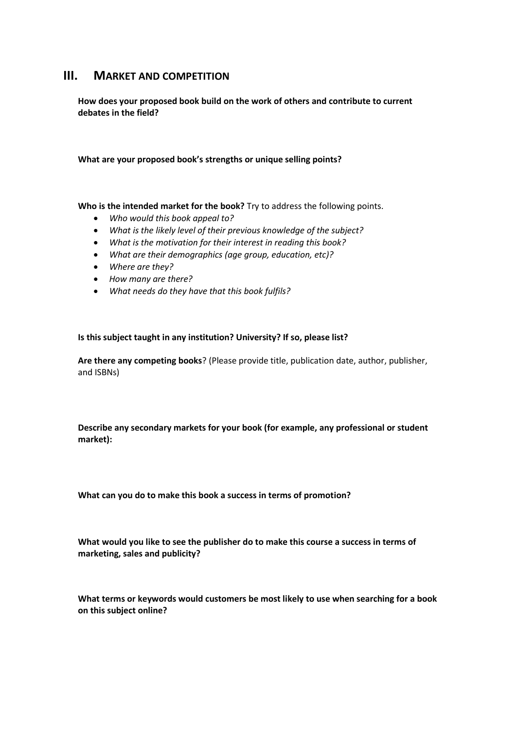## **III. MARKET AND COMPETITION**

**How does your proposed book build on the work of others and contribute to current debates in the field?**

**What are your proposed book's strengths or unique selling points?**

**Who is the intended market for the book?** Try to address the following points.

- *Who would this book appeal to?*
- *What is the likely level of their previous knowledge of the subject?*
- *What is the motivation for their interest in reading this book?*
- *What are their demographics (age group, education, etc)?*
- *Where are they?*
- *How many are there?*
- *What needs do they have that this book fulfils?*

#### **Is this subject taught in any institution? University? If so, please list?**

**Are there any competing books**? (Please provide title, publication date, author, publisher, and ISBNs)

**Describe any secondary markets for your book (for example, any professional or student market):**

**What can you do to make this book a success in terms of promotion?**

**What would you like to see the publisher do to make this course a success in terms of marketing, sales and publicity?**

**What terms or keywords would customers be most likely to use when searching for a book on this subject online?**